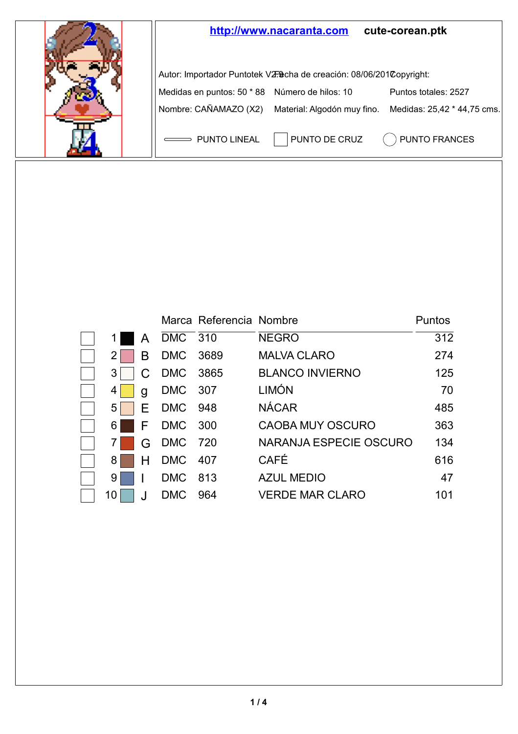

|          |    |            | Marca Referencia Nombre |                        | Puntos |
|----------|----|------------|-------------------------|------------------------|--------|
|          | A  | DMC 310    |                         | <b>NEGRO</b>           | 312    |
| $2 \mid$ | в  | DMC 3689   |                         | <b>MALVA CLARO</b>     | 274    |
| 31       |    | DMC 3865   |                         | <b>BLANCO INVIERNO</b> | 125    |
| 4        | q  | DMC 307    |                         | LIMÓN                  | 70     |
| 51       | E. | DMC 948    |                         | <b>NÁCAR</b>           | 485    |
| 6 I      | F  | DMC 300    |                         | CAOBA MUY OSCURO       | 363    |
|          | G  | DMC 720    |                         | NARANJA ESPECIE OSCURO | 134    |
| 81       | н  | <b>DMC</b> | 407                     | CAFÉ                   | 616    |
| 91       |    | <b>DMC</b> | -813                    | <b>AZUL MEDIO</b>      | 47     |
| 10       |    | <b>DMC</b> | 964                     | <b>VERDE MAR CLARO</b> | 101    |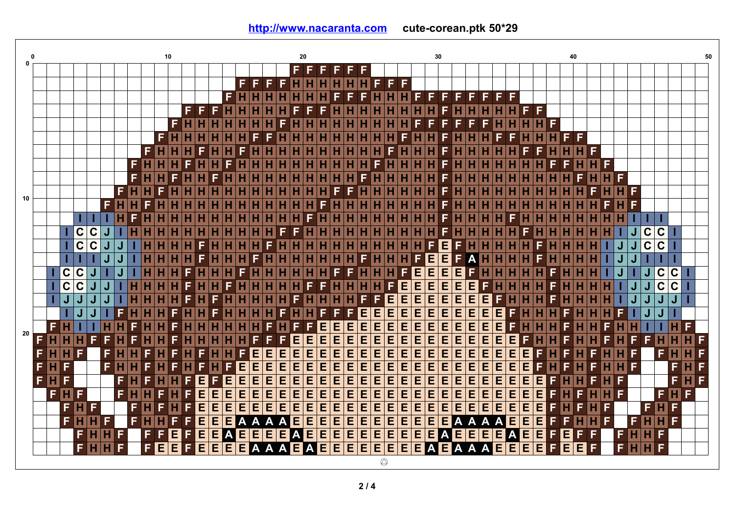|              |         | 10                      |                         |                         |    |    |     |                         |                |                         |      |                         |    | 20 |                |                |                |                |                |                         |                         | 30                                 |     |                                                                                                        |                                              |                |                |                                               |                                                           |                |                | 40                               |           |                         |                |                |    |                         |                         |                |       |   |     |                         | 50                      |              |                |   |
|--------------|---------|-------------------------|-------------------------|-------------------------|----|----|-----|-------------------------|----------------|-------------------------|------|-------------------------|----|----|----------------|----------------|----------------|----------------|----------------|-------------------------|-------------------------|------------------------------------|-----|--------------------------------------------------------------------------------------------------------|----------------------------------------------|----------------|----------------|-----------------------------------------------|-----------------------------------------------------------|----------------|----------------|----------------------------------|-----------|-------------------------|----------------|----------------|----|-------------------------|-------------------------|----------------|-------|---|-----|-------------------------|-------------------------|--------------|----------------|---|
| $\mathbf{0}$ |         |                         |                         |                         |    |    |     |                         |                |                         |      |                         |    |    |                |                |                |                | F.             | F                       | F                       |                                    |     | F.                                                                                                     |                                              |                |                |                                               |                                                           |                |                |                                  |           |                         |                |                |    |                         |                         |                |       |   |     |                         |                         |              |                |   |
|              |         |                         |                         |                         |    |    |     |                         |                |                         |      |                         |    |    |                | F F            | F.             |                |                | $F$ H H H $\parallel$   |                         | н                                  | ιн  | ш                                                                                                      | F.                                           | F              | F              |                                               |                                                           |                |                |                                  |           |                         |                |                |    |                         |                         |                |       |   |     |                         |                         |              |                |   |
|              |         |                         |                         |                         |    |    |     |                         |                |                         |      |                         |    | F. |                |                |                |                |                |                         |                         | F                                  |     |                                                                                                        |                                              |                |                |                                               | F.                                                        | F              | F              | F                                |           |                         |                |                |    |                         |                         |                |       |   |     |                         |                         |              |                |   |
|              |         |                         |                         |                         |    |    |     |                         |                |                         |      | F F.                    | F  |    |                |                |                |                |                |                         |                         |                                    |     |                                                                                                        |                                              |                |                |                                               |                                                           |                |                |                                  |           |                         |                | $F$ $F$        |    |                         |                         |                |       |   |     |                         |                         |              |                |   |
|              |         |                         |                         |                         |    |    |     |                         |                |                         | F HI | н                       | н  |    |                |                |                |                |                |                         |                         | н                                  |     |                                                                                                        |                                              |                |                |                                               |                                                           |                |                |                                  |           |                         |                |                |    |                         |                         |                |       |   |     |                         |                         |              |                |   |
|              |         |                         |                         |                         |    |    |     |                         | F.             | н                       | н    | н                       | н  |    |                |                |                |                |                |                         |                         |                                    |     |                                                                                                        |                                              |                |                |                                               |                                                           |                |                |                                  |           |                         |                |                |    | F.                      | F                       |                |       |   |     |                         |                         |              |                |   |
|              |         |                         |                         |                         |    |    |     |                         | FIH            |                         |      | F                       |    |    |                |                |                |                |                |                         | н                       |                                    |     |                                                                                                        |                                              | F              |                |                                               |                                                           | F              | H              |                                  |           |                         | F              | F              |    |                         | IEI FI                  |                |       |   |     |                         |                         |              |                |   |
|              |         |                         |                         |                         |    |    | F.  | н                       |                |                         | F    |                         |    |    |                |                |                |                |                |                         |                         |                                    |     |                                                                                                        | F.                                           |                |                |                                               | н                                                         | F              | н              |                                  |           |                         |                |                |    | F                       |                         | 田丘             |       |   |     |                         |                         |              |                |   |
|              |         |                         |                         |                         |    |    | F   | н                       |                | F                       | H    |                         |    |    |                |                |                |                |                |                         | н                       |                                    |     | F                                                                                                      | н                                            |                |                |                                               |                                                           | F              | H              |                                  |           |                         |                |                |    |                         | F                       | н              | $H$ F |   |     |                         |                         |              |                |   |
|              |         |                         |                         |                         |    |    | F H |                         |                |                         |      |                         |    |    |                |                |                |                |                |                         | н                       | F                                  | F   | н                                                                                                      | н                                            | н              | н              |                                               | н                                                         | F              | н              | н                                |           |                         |                |                |    |                         |                         |                |       | н | F   |                         |                         |              |                |   |
| 10           |         |                         |                         |                         | F. | н  |     |                         |                |                         |      |                         |    |    |                |                |                |                |                |                         | F                       | н                                  | н   | Ĥ                                                                                                      | н                                            | н              |                |                                               |                                                           | F              | Η              | н<br>н                           |           |                         |                |                |    |                         |                         |                |       |   | F   |                         |                         |              |                |   |
|              |         |                         |                         |                         |    |    |     |                         |                |                         |      |                         |    |    |                |                |                |                |                | F.                      | н                       | н                                  | н   | н                                                                                                      | н                                            | н              |                |                                               | н                                                         | F              | н              | н                                |           | F                       |                |                |    |                         |                         |                |       |   |     |                         |                         |              |                |   |
|              |         |                         | C                       | C                       | J  |    |     |                         |                |                         |      |                         |    |    |                |                |                |                | F              | н                       | н                       | н                                  |     |                                                                                                        | н                                            | н              |                |                                               | H                                                         | F              | Η              | н                                |           |                         |                |                |    |                         |                         |                |       |   |     | C                       | C                       |              |                |   |
|              |         |                         | $\overline{\mathbf{c}}$ | $\overline{\mathbf{c}}$ | J  | J  |     |                         |                |                         |      |                         |    |    |                |                |                |                |                |                         | н                       |                                    | н   |                                                                                                        | н                                            | н              | н              |                                               | F                                                         | E              | F              | Π<br>Н                           |           | н                       |                |                |    |                         |                         |                |       | J | J   | $\overline{\mathbf{C}}$ | $\overline{\mathbf{c}}$ |              |                |   |
|              |         |                         |                         |                         | J  | J  |     |                         |                |                         |      | F                       | н  |    |                | F              | н              |                |                | н                       | н                       | н                                  | н   | F                                                                                                      | $\overline{H}$                               | н              | н              | F                                             | E                                                         | E              | F              | A<br>н                           | н         | н                       | н              |                |    |                         |                         |                |       | J | J   |                         |                         |              |                |   |
|              |         | C                       | C                       |                         |    |    |     |                         |                |                         |      | $\overline{\mathbf{H}}$ | Ĥ  |    | F.             |                |                |                |                |                         | н                       |                                    |     |                                                                                                        |                                              | н              | F.             | E                                             | E E                                                       |                | E              | $\overline{\mathsf{H}}$<br>F     | lн        | н                       |                |                |    |                         |                         |                |       | J |     | J                       | C                       | C            |                |   |
|              |         | $\mathbf c$             | C                       | J                       | J  |    |     |                         |                |                         | F    | н                       | н  | F  |                |                |                |                |                | F                       | F                       | н                                  | н   | H                                                                                                      | н                                            | F.             | $\mathsf E$    | $\mathsf E$                                   | $\frac{ \mathbf{E} \mathbf{E} }{ \mathbf{E} \mathbf{E} }$ |                | E              | E                                | н<br>F    | н                       |                |                | F  | н                       |                         |                |       |   | J   | J                       | $\mathbf C$             | $\mathbf{C}$ |                |   |
|              |         | $\overline{\mathsf{J}}$ |                         | J                       | J  |    |     |                         |                |                         | F    | н                       |    |    |                |                |                |                | F              |                         |                         | н                                  | н   | F                                                                                                      | F                                            | E              | E E            |                                               |                                                           |                | E E            | <b>IE</b>                        | F         | н                       |                |                | F  |                         |                         |                |       |   |     | J                       | J                       | J            |                |   |
|              |         |                         |                         | J                       |    | F  |     |                         |                | F                       | н    | Η                       | F  |    |                |                |                |                |                |                         | F                       | F                                  | F   | $\overline{E}$                                                                                         | 百                                            | $\overline{E}$ | $\overline{E}$ | E                                             | $\overline{\mathsf{E}}$                                   | $\frac{1}{2}$  | EE             | ¢                                | E         | F                       | н              |                | н  | F                       | н                       |                |       | F |     | J                       | J                       |              |                |   |
|              | F.      |                         |                         |                         |    |    | F   |                         |                | F                       | н    | н                       | н  |    |                |                | E              |                |                | F.                      | $\overline{E}$          | Ē                                  | E   | $\overline{E}$                                                                                         | E                                            | $\overline{E}$ | $\overline{E}$ | $\overline{\mathsf{E}}$                       | $\overline{\mathsf{E}}$                                   |                | E E            | E                                | E         | F                       | н              |                |    | F                       | н                       | н              |       |   |     |                         |                         |              | F              |   |
| 20           | н<br>F. | н                       | н                       | F                       | F  |    | F   | н                       |                | F                       | н    |                         |    |    |                |                |                |                | E              | $\overline{E}$          | $\overline{E}$          |                                    | E E | E                                                                                                      | $\overline{E}$                               | $\overline{E}$ | $\overline{E}$ | $\overline{E}$                                | $\overline{E}$                                            | $\overline{E}$ | $\overline{E}$ | E<br>$\overline{\mathsf{E}}$     | Ē         | E                       | F              | н              |    | F                       | н                       |                |       |   | F   | F                       | н                       |              |                |   |
|              | Π<br>F  | н                       | F                       |                         | F  |    |     |                         |                | F                       | н    | Æ                       | н  | н  | F              | E              | E              | E              | E              | 'C                      | $\overline{\mathsf{E}}$ | $\overline{\mathsf{E} \mathsf{E}}$ |     | E                                                                                                      | E                                            | $\overline{E}$ | $\overline{E}$ | $\overline{\mathsf{E}}$                       | E E                                                       |                |                |                                  |           | $\overline{E}$          | E              | F              | н  | F                       | $\overline{\mathsf{H}}$ | F              | н     | н | F   |                         | F                       |              | н              | F |
|              | Η<br>F  | F                       |                         |                         | F. | н  |     |                         | н              | F                       | H    | F                       | Η  | F  | $\overline{E}$ | $\overline{E}$ | $\overline{E}$ | $\overline{E}$ | E              | $\overline{\mathsf{E}}$ | $\overline{E}$          |                                    | E E | E                                                                                                      | $\overline{E}$                               | $\overline{E}$ | $\overline{E}$ | E                                             | E E                                                       |                | EEEE<br>EEEE   |                                  |           | $\overline{\mathsf{E}}$ | E              | F              | Ή  | F                       | $\overline{\mathbf{H}}$ | F              | н     | н | F.  |                         |                         | F            | $\overline{H}$ | F |
|              | Π<br>F  | F                       |                         |                         |    | F. | н   |                         | н              |                         | F    | E                       | F. | E  | Ē              | $\overline{E}$ | $\overline{E}$ | $\overline{E}$ | $\overline{E}$ | $\overline{E}$          | $\overline{E}$          | EE                                 |     | E                                                                                                      | E                                            | $\overline{E}$ | $\overline{E}$ | $\overline{E}$                                | $\overline{\mathsf{E}}$                                   | $\overline{E}$ | <u>FEFF</u>    |                                  | Ē         | $\overline{\mathsf{E}}$ | $\overline{E}$ | E              | F  | П                       | π                       | F              | н     | F |     |                         |                         | F            | П              | F |
|              | F       | н                       | F                       |                         |    | F  |     |                         | F              | Ή                       | F    |                         |    |    |                |                |                |                |                |                         |                         |                                    |     |                                                                                                        | E                                            | $\overline{E}$ | $\overline{E}$ | $\overline{E}$                                | $\overline{\mathsf{E}}$                                   | t.             | E E<br>E E     | $\frac{1}{\sqrt{2}}$             | Ē         | Ē                       | E              | $\overline{E}$ | F  | $\mathbf{H}$            | F                       | Ή              | H     | F |     |                         | F.                      | $\mathbf H$  | F              |   |
|              |         | F                       | H                       | F                       |    |    | F   | н                       | F              | H                       | F    |                         |    |    |                |                |                |                |                |                         |                         |                                    |     |                                                                                                        | $\overline{E}$                               | $\overline{E}$ | $\overline{E}$ | E                                             | $\overline{E}$                                            | EĒ             |                |                                  | 同         | E                       | E              | $\overline{E}$ | F  | $\overline{\mathsf{H}}$ | F                       | Η              | F     |   |     | F.                      | н                       | F            |                |   |
|              |         | F                       | H                       | н                       | F  |    | F.  | $\overline{\mathbf{H}}$ | н              | F                       | F    |                         |    |    |                |                |                |                |                |                         |                         |                                    |     |                                                                                                        | $\overline{\mathsf{E}}$                      | $\overline{E}$ |                |                                               |                                                           | EEEEA          |                | $\overline{A}$<br>$\overline{A}$ | $\bullet$ | E                       | $\overline{E}$ | E              | F  | F                       | H H                     |                | F.    |   |     | F H H                   |                         | F            |                |   |
|              |         |                         | G                       | Iн                      | н  | F. |     | F                       | F              | $\blacksquare$          | F    |                         |    |    |                |                |                |                |                |                         |                         |                                    |     |                                                                                                        | $\overline{\mathsf{E}}$                      | $\overline{E}$ |                | $\overline{\mathsf{E}[\mathsf{E}]\mathsf{E}}$ |                                                           |                |                |                                  |           |                         |                |                | FE |                         | F                       | $\overline{F}$ |       |   | FHH |                         | F                       |              |                |   |
|              |         |                         | F                       |                         |    | F. |     | F                       | $\overline{E}$ | $\overline{\mathsf{E}}$ | F.   |                         |    |    |                |                |                |                |                |                         |                         |                                    |     | <b>Beckhaded Cape Cape</b><br><b>Beckhaded Cape Cape</b><br>Beckhaded Cape Cape<br>Beckhaded Cape Cape | $\overline{\mathsf{E}}\overline{\mathsf{E}}$ |                |                |                                               |                                                           |                | EEAEAAAE       |                                  |           | A <b>EEEEAE</b>         |                | $\frac{E}{E}$  | F  | $\overline{\mathsf{E}}$ | 4ÊP                     | F.             |       | F | н   | н                       | F.                      |              |                |   |
|              |         |                         |                         |                         |    |    |     |                         |                |                         |      |                         |    |    |                |                |                |                |                |                         |                         |                                    |     |                                                                                                        |                                              | $\circledcirc$ |                |                                               |                                                           |                |                |                                  |           |                         |                |                |    |                         |                         |                |       |   |     |                         |                         |              |                |   |

**<http://www.nacaranta.com>cute-corean.ptk 50\*29**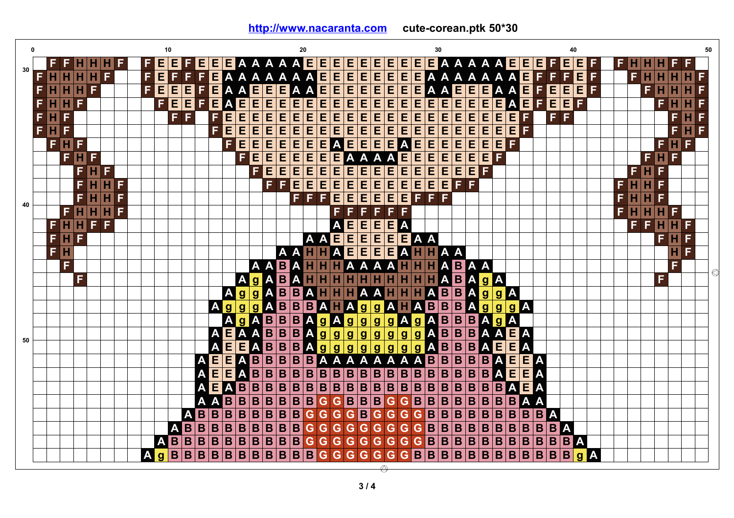**0 10 20 30 40 50 E E F E E F F H H H F F E F E E A A A A A E E E E E E E E E E A A A A A E E E F F H H H F F 30 A A A F F F E A A A A A A A A E F F F F H H H H F F E E E E E E E E E A A A F E F H H H H F E E E A E E A E E E E F H H H F F E E E F A A E A E E E E E E A E A A F E E F F H H H F E E E E E E E E F A F H H F H H F F E E E A E E E E E E E E E E E E E E E F F F E E E E E E E E E E E E E E E E E E E F F F F F F H F H F E E E F F H E E E E E E E E E E E E E E E E E E E E E E H F F F F F F E E E E E E E F E E E E E E E E E F F F H F A E E A H F F E E E E E E E E E E F H F E A A E E F F H F E A A E E E E E E E F F E E E E E E F H F E E E F H F E E E E E E E E E F F E F F F F H H F E E H H F E F F H H F F F F E E E E E F F F H H F 40 H F F F F H H F F F F F H H H F E H F H H F F A E E E A F F H F E E F H F F H F A A E E E E A A E F H A A H H A E E E A H H A A H F F F A A B A H H H A A A A H H H A B A A** ପ **B F g F A A B A H H H H H H H H H H A A g A B B B A g g A A H H H A A H H H A B A g g A A g g g A B B B A H A g A H A B B B A g g A g g B B B B A g A A g A g g A A B B A g A g g g B B B A E A A B B B g g g g A A A E A A g g g g 50 E g g B E A E A B B B A g g g g g g A B B A E A E A B A E A B B B B B A A A A A A A A B B B B E E A E B A E A B B B B B B B B B B B B B B B B B A E E A A E A B B B B B B B B B B B B B B B B B B B B A E A A G G A B B B B B B B G B B B G B B B B B B B B A A G G G G A B B B B B B B B G G B G G B B B B B B B B B A G G G G A B B B B B B B B B G G G G G B B B B B B B B B B A G A B B B B B B B B B B G G G G G G G G B B B B B B B B B B B A A g B B B B B B B B B B B G G G G G G G B B B B B B B B B B B B g A**

**<http://www.nacaranta.com>cute-corean.ptk 50\*30**